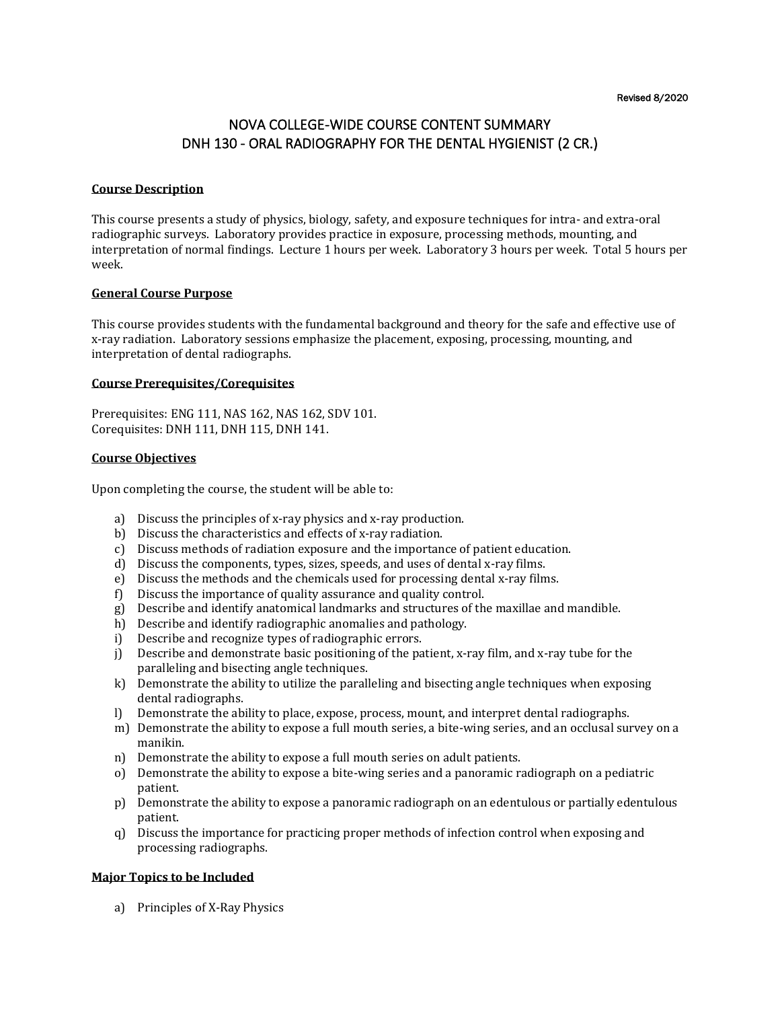Revised 8/2020

# NOVA COLLEGE-WIDE COURSE CONTENT SUMMARY DNH 130 - ORAL RADIOGRAPHY FOR THE DENTAL HYGIENIST (2 CR.)

## **Course Description**

This course presents a study of physics, biology, safety, and exposure techniques for intra- and extra-oral radiographic surveys. Laboratory provides practice in exposure, processing methods, mounting, and interpretation of normal findings. Lecture 1 hours per week. Laboratory 3 hours per week. Total 5 hours per week.

#### **General Course Purpose**

This course provides students with the fundamental background and theory for the safe and effective use of x-ray radiation. Laboratory sessions emphasize the placement, exposing, processing, mounting, and interpretation of dental radiographs.

### **Course Prerequisites/Corequisites**

Prerequisites: ENG 111, NAS 162, NAS 162, SDV 101. Corequisites: DNH 111, DNH 115, DNH 141.

## **Course Objectives**

Upon completing the course, the student will be able to:

- a) Discuss the principles of x-ray physics and x-ray production.
- b) Discuss the characteristics and effects of x-ray radiation.
- c) Discuss methods of radiation exposure and the importance of patient education.
- d) Discuss the components, types, sizes, speeds, and uses of dental x-ray films.
- e) Discuss the methods and the chemicals used for processing dental x-ray films.
- f) Discuss the importance of quality assurance and quality control.
- g) Describe and identify anatomical landmarks and structures of the maxillae and mandible.
- h) Describe and identify radiographic anomalies and pathology.
- i) Describe and recognize types of radiographic errors.
- j) Describe and demonstrate basic positioning of the patient, x-ray film, and x-ray tube for the paralleling and bisecting angle techniques.
- k) Demonstrate the ability to utilize the paralleling and bisecting angle techniques when exposing dental radiographs.
- l) Demonstrate the ability to place, expose, process, mount, and interpret dental radiographs.
- m) Demonstrate the ability to expose a full mouth series, a bite-wing series, and an occlusal survey on a manikin.
- n) Demonstrate the ability to expose a full mouth series on adult patients.
- o) Demonstrate the ability to expose a bite-wing series and a panoramic radiograph on a pediatric patient.
- p) Demonstrate the ability to expose a panoramic radiograph on an edentulous or partially edentulous patient.
- q) Discuss the importance for practicing proper methods of infection control when exposing and processing radiographs.

## **Major Topics to be Included**

a) Principles of X-Ray Physics